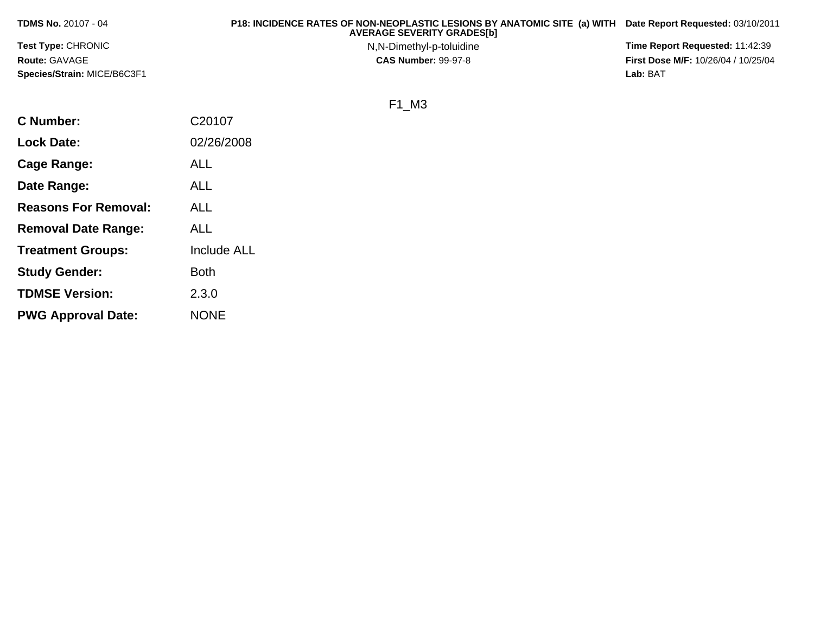| <b>TDMS No. 20107 - 04</b>         | P18: INCIDENCE RATES OF NON-NEOPLASTIC LESIONS BY ANATOMIC SITE (a) WITH Date Report Requested: 03/10/2011<br><b>AVERAGE SEVERITY GRADES[b]</b> |                                            |
|------------------------------------|-------------------------------------------------------------------------------------------------------------------------------------------------|--------------------------------------------|
| <b>Test Type: CHRONIC</b>          | N,N-Dimethyl-p-toluidine                                                                                                                        | <b>Time Report Requested: 11:42:39</b>     |
| <b>Route: GAVAGE</b>               | <b>CAS Number: 99-97-8</b>                                                                                                                      | <b>First Dose M/F: 10/26/04 / 10/25/04</b> |
| <b>Species/Strain: MICE/B6C3F1</b> |                                                                                                                                                 | Lab: BAT                                   |

F1\_M3

| <b>C</b> Number:            | C20107             |
|-----------------------------|--------------------|
| <b>Lock Date:</b>           | 02/26/2008         |
| Cage Range:                 | <b>ALL</b>         |
| Date Range:                 | <b>ALL</b>         |
| <b>Reasons For Removal:</b> | <b>ALL</b>         |
| <b>Removal Date Range:</b>  | <b>ALL</b>         |
| <b>Treatment Groups:</b>    | <b>Include ALL</b> |
| <b>Study Gender:</b>        | <b>Both</b>        |
| <b>TDMSE Version:</b>       | 2.3.0              |
| <b>PWG Approval Date:</b>   | <b>NONE</b>        |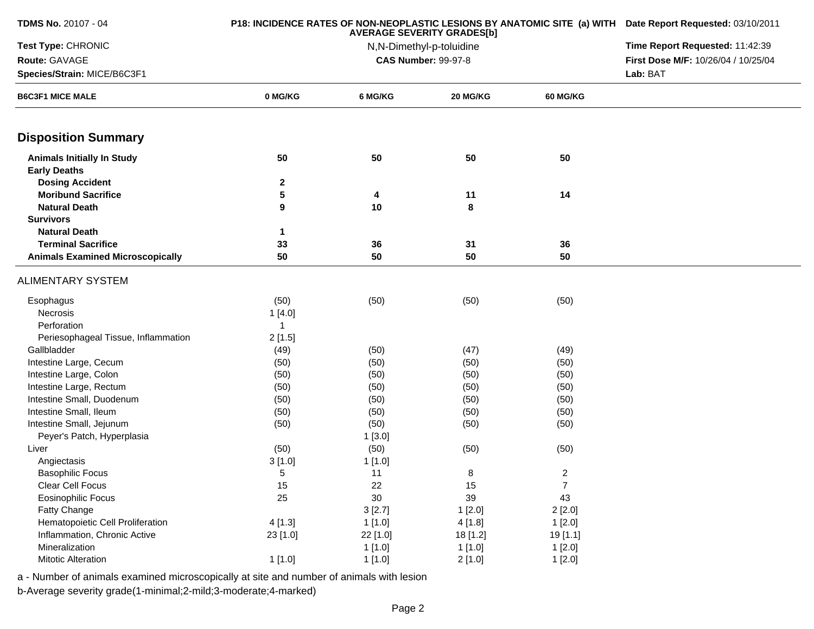| <b>TDMS No. 20107 - 04</b>              |              | P18: INCIDENCE RATES OF NON-NEOPLASTIC LESIONS BY ANATOMIC SITE (a) WITH Date Report Requested: 03/10/2011 |                                                               |                 |                                     |
|-----------------------------------------|--------------|------------------------------------------------------------------------------------------------------------|---------------------------------------------------------------|-----------------|-------------------------------------|
| Test Type: CHRONIC                      |              |                                                                                                            | <b>AVERAGE SEVERITY GRADES[b]</b><br>N,N-Dimethyl-p-toluidine |                 | Time Report Requested: 11:42:39     |
| Route: GAVAGE                           |              |                                                                                                            | <b>CAS Number: 99-97-8</b>                                    |                 | First Dose M/F: 10/26/04 / 10/25/04 |
| Species/Strain: MICE/B6C3F1             |              |                                                                                                            |                                                               |                 | Lab: BAT                            |
| <b>B6C3F1 MICE MALE</b>                 | 0 MG/KG      | 6 MG/KG                                                                                                    | 20 MG/KG                                                      | <b>60 MG/KG</b> |                                     |
| <b>Disposition Summary</b>              |              |                                                                                                            |                                                               |                 |                                     |
| <b>Animals Initially In Study</b>       | 50           | 50                                                                                                         | 50                                                            | 50              |                                     |
| <b>Early Deaths</b>                     |              |                                                                                                            |                                                               |                 |                                     |
| <b>Dosing Accident</b>                  | $\mathbf{2}$ |                                                                                                            |                                                               |                 |                                     |
| <b>Moribund Sacrifice</b>               | 5            | 4                                                                                                          | 11                                                            | 14              |                                     |
| <b>Natural Death</b>                    | 9            | 10                                                                                                         | 8                                                             |                 |                                     |
| <b>Survivors</b>                        |              |                                                                                                            |                                                               |                 |                                     |
| <b>Natural Death</b>                    | 1            |                                                                                                            |                                                               |                 |                                     |
| <b>Terminal Sacrifice</b>               | 33           | 36                                                                                                         | 31                                                            | 36              |                                     |
| <b>Animals Examined Microscopically</b> | 50           | 50                                                                                                         | 50                                                            | 50              |                                     |
| <b>ALIMENTARY SYSTEM</b>                |              |                                                                                                            |                                                               |                 |                                     |
| Esophagus                               | (50)         | (50)                                                                                                       | (50)                                                          | (50)            |                                     |
| Necrosis                                | 1[4.0]       |                                                                                                            |                                                               |                 |                                     |
| Perforation                             | $\mathbf{1}$ |                                                                                                            |                                                               |                 |                                     |
| Periesophageal Tissue, Inflammation     | 2[1.5]       |                                                                                                            |                                                               |                 |                                     |
| Gallbladder                             | (49)         | (50)                                                                                                       | (47)                                                          | (49)            |                                     |
| Intestine Large, Cecum                  | (50)         | (50)                                                                                                       | (50)                                                          | (50)            |                                     |
| Intestine Large, Colon                  | (50)         | (50)                                                                                                       | (50)                                                          | (50)            |                                     |
| Intestine Large, Rectum                 | (50)         | (50)                                                                                                       | (50)                                                          | (50)            |                                     |
| Intestine Small, Duodenum               | (50)         | (50)                                                                                                       | (50)                                                          | (50)            |                                     |
| Intestine Small, Ileum                  | (50)         | (50)                                                                                                       | (50)                                                          | (50)            |                                     |
| Intestine Small, Jejunum                | (50)         | (50)                                                                                                       | (50)                                                          | (50)            |                                     |
| Peyer's Patch, Hyperplasia              |              | 1[3.0]                                                                                                     |                                                               |                 |                                     |
| Liver                                   | (50)         | (50)                                                                                                       | (50)                                                          | (50)            |                                     |
| Angiectasis                             | 3[1.0]       | 1[1.0]                                                                                                     |                                                               |                 |                                     |
| <b>Basophilic Focus</b>                 | 5            | 11                                                                                                         | 8                                                             | $\overline{c}$  |                                     |
| Clear Cell Focus                        | 15           | 22                                                                                                         | 15                                                            | 7               |                                     |
| Eosinophilic Focus                      | 25           | $30\,$                                                                                                     | 39                                                            | 43              |                                     |
| <b>Fatty Change</b>                     |              | 3[2.7]                                                                                                     | 1[2.0]                                                        | 2[2.0]          |                                     |
| Hematopoietic Cell Proliferation        | 4[1.3]       | 1[1.0]                                                                                                     | 4[1.8]                                                        | 1[2.0]          |                                     |
| Inflammation, Chronic Active            | 23 [1.0]     | 22 [1.0]                                                                                                   | 18 [1.2]                                                      | 19 [1.1]        |                                     |
| Mineralization                          |              | 1[1.0]                                                                                                     | 1[1.0]                                                        | 1[2.0]          |                                     |
| Mitotic Alteration                      | 1[1.0]       | 1[1.0]                                                                                                     | 2[1.0]                                                        | 1[2.0]          |                                     |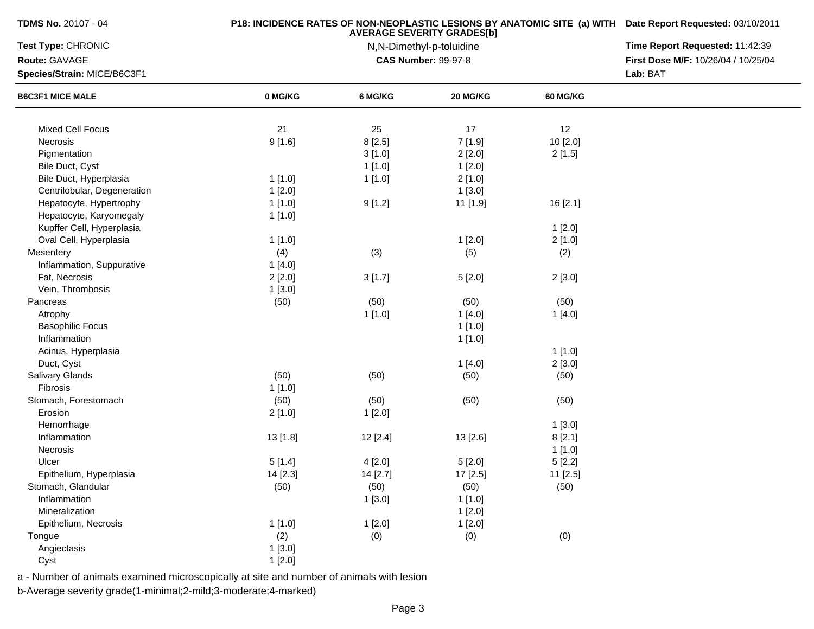| <b>TDMS No. 20107 - 04</b>  |          | <b>P18: INCIDENCE RATES OF NON-NEOPLASTIC LESIONS BY ANATOMIC SITE (a) WITH Date Report Requested: 03/10/2011</b><br><b>AVERAGE SEVERITY GRADES[b]</b> |                                                        |                 |                                     |  |  |
|-----------------------------|----------|--------------------------------------------------------------------------------------------------------------------------------------------------------|--------------------------------------------------------|-----------------|-------------------------------------|--|--|
| Test Type: CHRONIC          |          | Time Report Requested: 11:42:39                                                                                                                        |                                                        |                 |                                     |  |  |
| Route: GAVAGE               |          |                                                                                                                                                        | N,N-Dimethyl-p-toluidine<br><b>CAS Number: 99-97-8</b> |                 | First Dose M/F: 10/26/04 / 10/25/04 |  |  |
| Species/Strain: MICE/B6C3F1 |          |                                                                                                                                                        |                                                        |                 | Lab: BAT                            |  |  |
| <b>B6C3F1 MICE MALE</b>     | 0 MG/KG  | 6 MG/KG                                                                                                                                                | 20 MG/KG                                               | <b>60 MG/KG</b> |                                     |  |  |
|                             |          |                                                                                                                                                        |                                                        |                 |                                     |  |  |
| Mixed Cell Focus            | 21       | 25                                                                                                                                                     | 17                                                     | 12              |                                     |  |  |
| Necrosis                    | 9[1.6]   | 8[2.5]                                                                                                                                                 | 7[1.9]                                                 | 10 [2.0]        |                                     |  |  |
| Pigmentation                |          | 3[1.0]                                                                                                                                                 | 2[2.0]                                                 | 2[1.5]          |                                     |  |  |
| Bile Duct, Cyst             |          | 1[1.0]                                                                                                                                                 | 1[2.0]                                                 |                 |                                     |  |  |
| Bile Duct, Hyperplasia      | 1[1.0]   | 1[1.0]                                                                                                                                                 | 2[1.0]                                                 |                 |                                     |  |  |
| Centrilobular, Degeneration | 1[2.0]   |                                                                                                                                                        | 1[3.0]                                                 |                 |                                     |  |  |
| Hepatocyte, Hypertrophy     | 1[1.0]   | 9[1.2]                                                                                                                                                 | 11 [1.9]                                               | 16 [2.1]        |                                     |  |  |
| Hepatocyte, Karyomegaly     | 1[1.0]   |                                                                                                                                                        |                                                        |                 |                                     |  |  |
| Kupffer Cell, Hyperplasia   |          |                                                                                                                                                        |                                                        | 1[2.0]          |                                     |  |  |
| Oval Cell, Hyperplasia      | 1[1.0]   |                                                                                                                                                        | 1[2.0]                                                 | 2[1.0]          |                                     |  |  |
| Mesentery                   | (4)      | (3)                                                                                                                                                    | (5)                                                    | (2)             |                                     |  |  |
| Inflammation, Suppurative   | 1[4.0]   |                                                                                                                                                        |                                                        |                 |                                     |  |  |
| Fat, Necrosis               | 2[2.0]   | 3[1.7]                                                                                                                                                 | 5[2.0]                                                 | 2[3.0]          |                                     |  |  |
| Vein, Thrombosis            | 1[3.0]   |                                                                                                                                                        |                                                        |                 |                                     |  |  |
| Pancreas                    | (50)     | (50)                                                                                                                                                   | (50)                                                   | (50)            |                                     |  |  |
| Atrophy                     |          | 1[1.0]                                                                                                                                                 | 1[4.0]                                                 | 1[4.0]          |                                     |  |  |
| <b>Basophilic Focus</b>     |          |                                                                                                                                                        | 1[1.0]                                                 |                 |                                     |  |  |
| Inflammation                |          |                                                                                                                                                        | 1[1.0]                                                 |                 |                                     |  |  |
| Acinus, Hyperplasia         |          |                                                                                                                                                        |                                                        | 1[1.0]          |                                     |  |  |
| Duct, Cyst                  |          |                                                                                                                                                        | 1[4.0]                                                 | 2[3.0]          |                                     |  |  |
| <b>Salivary Glands</b>      | (50)     | (50)                                                                                                                                                   | (50)                                                   | (50)            |                                     |  |  |
| Fibrosis                    | 1[1.0]   |                                                                                                                                                        |                                                        |                 |                                     |  |  |
| Stomach, Forestomach        | (50)     | (50)                                                                                                                                                   | (50)                                                   | (50)            |                                     |  |  |
| Erosion                     | 2[1.0]   | 1[2.0]                                                                                                                                                 |                                                        |                 |                                     |  |  |
| Hemorrhage                  |          |                                                                                                                                                        |                                                        | 1[3.0]          |                                     |  |  |
| Inflammation                | 13 [1.8] | 12 [2.4]                                                                                                                                               | 13 [2.6]                                               | 8[2.1]          |                                     |  |  |
| Necrosis                    |          |                                                                                                                                                        |                                                        | 1[1.0]          |                                     |  |  |
| Ulcer                       | 5[1.4]   | 4[2.0]                                                                                                                                                 | 5[2.0]                                                 | 5[2.2]          |                                     |  |  |
| Epithelium, Hyperplasia     | 14 [2.3] | 14 [2.7]                                                                                                                                               | 17 [2.5]                                               | 11 [2.5]        |                                     |  |  |
| Stomach, Glandular          |          |                                                                                                                                                        |                                                        |                 |                                     |  |  |
| Inflammation                | (50)     | (50)<br>1[3.0]                                                                                                                                         | (50)                                                   | (50)            |                                     |  |  |
| Mineralization              |          |                                                                                                                                                        | 1[1.0]                                                 |                 |                                     |  |  |
|                             |          |                                                                                                                                                        | 1[2.0]                                                 |                 |                                     |  |  |
| Epithelium, Necrosis        | 1[1.0]   | 1[2.0]                                                                                                                                                 | 1[2.0]                                                 |                 |                                     |  |  |
| Tongue                      | (2)      | (0)                                                                                                                                                    | (0)                                                    | (0)             |                                     |  |  |
| Angiectasis                 | 1[3.0]   |                                                                                                                                                        |                                                        |                 |                                     |  |  |
| Cyst                        | 1[2.0]   |                                                                                                                                                        |                                                        |                 |                                     |  |  |

a - Number of animals examined microscopically at site and number of animals with lesion

b-Average severity grade(1-minimal;2-mild;3-moderate;4-marked)

**TDMS No.** 20107 - 04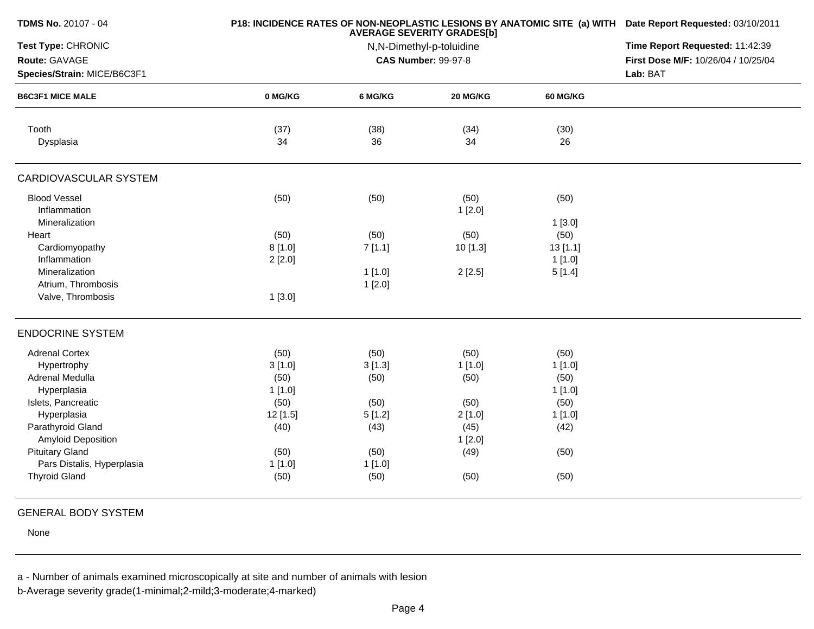| <b>TDMS No. 20107 - 04</b>          |          | P18: INCIDENCE RATES OF NON-NEOPLASTIC LESIONS BY ANATOMIC SITE (a) WITH Date Report Requested: 03/10/2011 |                            |          |                                     |
|-------------------------------------|----------|------------------------------------------------------------------------------------------------------------|----------------------------|----------|-------------------------------------|
| Test Type: CHRONIC                  |          | Time Report Requested: 11:42:39                                                                            |                            |          |                                     |
| Route: GAVAGE                       |          |                                                                                                            | <b>CAS Number: 99-97-8</b> |          | First Dose M/F: 10/26/04 / 10/25/04 |
| Species/Strain: MICE/B6C3F1         |          |                                                                                                            |                            |          | Lab: BAT                            |
| <b>B6C3F1 MICE MALE</b>             | 0 MG/KG  | 6 MG/KG                                                                                                    | 20 MG/KG                   | 60 MG/KG |                                     |
| Tooth                               | (37)     | (38)                                                                                                       | (34)                       | (30)     |                                     |
| Dysplasia                           | 34       | 36                                                                                                         | 34                         | 26       |                                     |
| <b>CARDIOVASCULAR SYSTEM</b>        |          |                                                                                                            |                            |          |                                     |
| <b>Blood Vessel</b><br>Inflammation | (50)     | (50)                                                                                                       | (50)<br>1[2.0]             | (50)     |                                     |
| Mineralization                      |          |                                                                                                            |                            | 1[3.0]   |                                     |
| Heart                               | (50)     | (50)                                                                                                       | (50)                       | (50)     |                                     |
| Cardiomyopathy                      | 8[1.0]   | 7[1.1]                                                                                                     | 10 [1.3]                   | 13[1.1]  |                                     |
| Inflammation                        | 2[2.0]   |                                                                                                            |                            | 1[1.0]   |                                     |
| Mineralization                      |          | 1[1.0]                                                                                                     | 2[2.5]                     | 5[1.4]   |                                     |
| Atrium, Thrombosis                  |          | 1[2.0]                                                                                                     |                            |          |                                     |
| Valve, Thrombosis                   | 1[3.0]   |                                                                                                            |                            |          |                                     |
| <b>ENDOCRINE SYSTEM</b>             |          |                                                                                                            |                            |          |                                     |
| <b>Adrenal Cortex</b>               | (50)     | (50)                                                                                                       | (50)                       | (50)     |                                     |
| Hypertrophy                         | 3[1.0]   | 3[1.3]                                                                                                     | 1[1.0]                     | 1[1.0]   |                                     |
| Adrenal Medulla                     | (50)     | (50)                                                                                                       | (50)                       | (50)     |                                     |
| Hyperplasia                         | 1[1.0]   |                                                                                                            |                            | 1[1.0]   |                                     |
| Islets, Pancreatic                  | (50)     | (50)                                                                                                       | (50)                       | (50)     |                                     |
| Hyperplasia                         | 12 [1.5] | 5[1.2]                                                                                                     | 2[1.0]                     | 1[1.0]   |                                     |
| Parathyroid Gland                   | (40)     | (43)                                                                                                       | (45)                       | (42)     |                                     |
| Amyloid Deposition                  |          |                                                                                                            | 1[2.0]                     |          |                                     |
| <b>Pituitary Gland</b>              | (50)     | (50)                                                                                                       | (49)                       | (50)     |                                     |
| Pars Distalis, Hyperplasia          | 1[1.0]   | 1[1.0]                                                                                                     |                            |          |                                     |
| <b>Thyroid Gland</b>                | (50)     | (50)                                                                                                       | (50)                       | (50)     |                                     |
|                                     |          |                                                                                                            |                            |          |                                     |

## GENERAL BODY SYSTEM

None

a - Number of animals examined microscopically at site and number of animals with lesion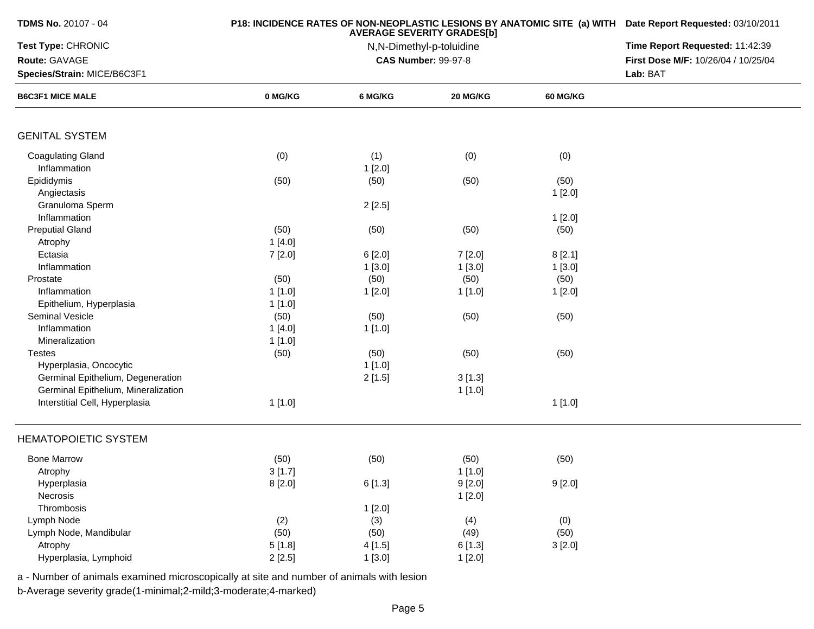| <b>TDMS No. 20107 - 04</b>          |         | P18: INCIDENCE RATES OF NON-NEOPLASTIC LESIONS BY ANATOMIC SITE (a) WITH Date Report Requested: 03/10/2011 |                            |                 |                                     |
|-------------------------------------|---------|------------------------------------------------------------------------------------------------------------|----------------------------|-----------------|-------------------------------------|
| Test Type: CHRONIC                  |         | Time Report Requested: 11:42:39                                                                            |                            |                 |                                     |
| Route: GAVAGE                       |         |                                                                                                            | <b>CAS Number: 99-97-8</b> |                 | First Dose M/F: 10/26/04 / 10/25/04 |
| Species/Strain: MICE/B6C3F1         |         |                                                                                                            |                            |                 | Lab: BAT                            |
| <b>B6C3F1 MICE MALE</b>             | 0 MG/KG | 6 MG/KG                                                                                                    | 20 MG/KG                   | <b>60 MG/KG</b> |                                     |
|                                     |         |                                                                                                            |                            |                 |                                     |
| <b>GENITAL SYSTEM</b>               |         |                                                                                                            |                            |                 |                                     |
| <b>Coagulating Gland</b>            | (0)     | (1)                                                                                                        | (0)                        | (0)             |                                     |
| Inflammation                        |         | 1[2.0]                                                                                                     |                            |                 |                                     |
| Epididymis                          | (50)    | (50)                                                                                                       | (50)                       | (50)            |                                     |
| Angiectasis                         |         |                                                                                                            |                            | 1[2.0]          |                                     |
| Granuloma Sperm                     |         | 2[2.5]                                                                                                     |                            |                 |                                     |
| Inflammation                        |         |                                                                                                            |                            | 1[2.0]          |                                     |
| <b>Preputial Gland</b>              | (50)    | (50)                                                                                                       | (50)                       | (50)            |                                     |
| Atrophy                             | 1[4.0]  |                                                                                                            |                            |                 |                                     |
| Ectasia                             | 7[2.0]  | 6 [2.0]                                                                                                    | 7[2.0]                     | 8[2.1]          |                                     |
| Inflammation                        |         | 1[3.0]                                                                                                     | 1[3.0]                     | 1[3.0]          |                                     |
| Prostate                            | (50)    | (50)                                                                                                       | (50)                       | (50)            |                                     |
| Inflammation                        | 1[1.0]  | 1[2.0]                                                                                                     | 1[1.0]                     | 1[2.0]          |                                     |
| Epithelium, Hyperplasia             | 1[1.0]  |                                                                                                            |                            |                 |                                     |
| <b>Seminal Vesicle</b>              | (50)    | (50)                                                                                                       | (50)                       | (50)            |                                     |
| Inflammation                        | 1[4.0]  | 1[1.0]                                                                                                     |                            |                 |                                     |
| Mineralization                      | 1[1.0]  |                                                                                                            |                            |                 |                                     |
| <b>Testes</b>                       | (50)    | (50)                                                                                                       | (50)                       | (50)            |                                     |
| Hyperplasia, Oncocytic              |         | 1[1.0]                                                                                                     |                            |                 |                                     |
| Germinal Epithelium, Degeneration   |         | 2[1.5]                                                                                                     | 3[1.3]                     |                 |                                     |
| Germinal Epithelium, Mineralization |         |                                                                                                            | 1[1.0]                     |                 |                                     |
| Interstitial Cell, Hyperplasia      | 1[1.0]  |                                                                                                            |                            | 1[1.0]          |                                     |
| <b>HEMATOPOIETIC SYSTEM</b>         |         |                                                                                                            |                            |                 |                                     |
| <b>Bone Marrow</b>                  | (50)    | (50)                                                                                                       | (50)                       | (50)            |                                     |
| Atrophy                             | 3[1.7]  |                                                                                                            | 1[1.0]                     |                 |                                     |
| Hyperplasia                         | 8[2.0]  | 6[1.3]                                                                                                     | 9 [2.0]                    | 9 [2.0]         |                                     |
| Necrosis                            |         |                                                                                                            | 1[2.0]                     |                 |                                     |
| Thrombosis                          |         | 1[2.0]                                                                                                     |                            |                 |                                     |
| Lymph Node                          | (2)     | (3)                                                                                                        | (4)                        | (0)             |                                     |
| Lymph Node, Mandibular              | (50)    | (50)                                                                                                       | (49)                       | (50)            |                                     |
| Atrophy                             | 5[1.8]  | 4[1.5]                                                                                                     | 6[1.3]                     | 3[2.0]          |                                     |
| Hyperplasia, Lymphoid               | 2[2.5]  | 1[3.0]                                                                                                     | 1[2.0]                     |                 |                                     |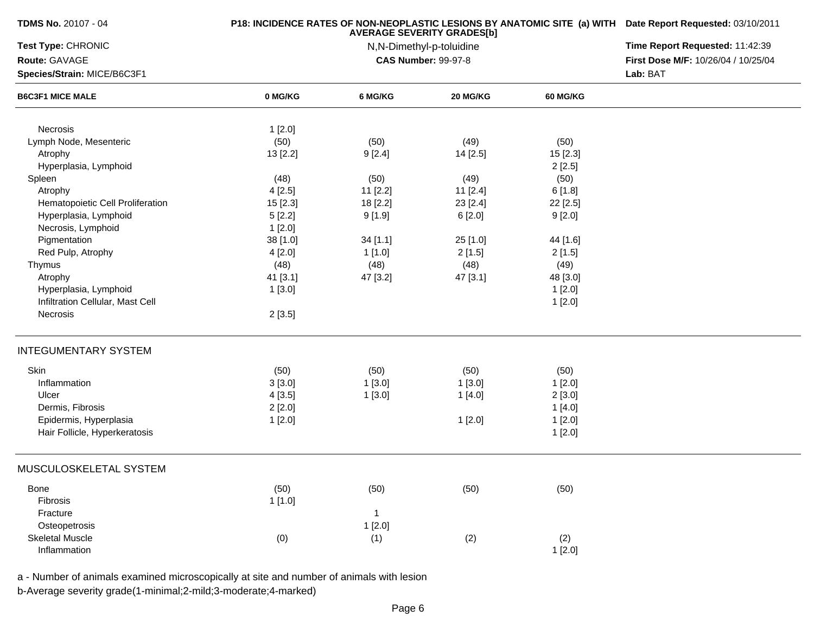| <b>TDMS No. 20107 - 04</b>       |          | P18: INCIDENCE RATES OF NON-NEOPLASTIC LESIONS BY ANATOMIC SITE (a) WITH Date Report Requested: 03/10/2011 |                            |                 |                                     |
|----------------------------------|----------|------------------------------------------------------------------------------------------------------------|----------------------------|-----------------|-------------------------------------|
| Test Type: CHRONIC               |          | Time Report Requested: 11:42:39                                                                            |                            |                 |                                     |
| Route: GAVAGE                    |          |                                                                                                            | <b>CAS Number: 99-97-8</b> |                 | First Dose M/F: 10/26/04 / 10/25/04 |
| Species/Strain: MICE/B6C3F1      |          |                                                                                                            |                            |                 | Lab: BAT                            |
| <b>B6C3F1 MICE MALE</b>          | 0 MG/KG  | 6 MG/KG                                                                                                    | <b>20 MG/KG</b>            | <b>60 MG/KG</b> |                                     |
| Necrosis                         | 1[2.0]   |                                                                                                            |                            |                 |                                     |
| Lymph Node, Mesenteric           | (50)     | (50)                                                                                                       | (49)                       | (50)            |                                     |
| Atrophy                          | 13 [2.2] | 9[2.4]                                                                                                     | 14 [2.5]                   | 15 [2.3]        |                                     |
| Hyperplasia, Lymphoid            |          |                                                                                                            |                            | 2[2.5]          |                                     |
| Spleen                           | (48)     | (50)                                                                                                       | (49)                       | (50)            |                                     |
| Atrophy                          | 4[2.5]   | 11 [2.2]                                                                                                   | 11 [2.4]                   | 6[1.8]          |                                     |
| Hematopoietic Cell Proliferation | 15 [2.3] | 18 [2.2]                                                                                                   | 23 [2.4]                   | 22 [2.5]        |                                     |
| Hyperplasia, Lymphoid            | 5[2.2]   | 9[1.9]                                                                                                     | 6 [2.0]                    | 9[2.0]          |                                     |
| Necrosis, Lymphoid               | 1[2.0]   |                                                                                                            |                            |                 |                                     |
| Pigmentation                     | 38 [1.0] | 34[1.1]                                                                                                    | 25 [1.0]                   | 44 [1.6]        |                                     |
| Red Pulp, Atrophy                | 4 [2.0]  | 1 [1.0]                                                                                                    | 2[1.5]                     | 2[1.5]          |                                     |
| Thymus                           | (48)     | (48)                                                                                                       | (48)                       | (49)            |                                     |
| Atrophy                          | 41 [3.1] | 47 [3.2]                                                                                                   | 47 [3.1]                   | 48 [3.0]        |                                     |
| Hyperplasia, Lymphoid            | 1[3.0]   |                                                                                                            |                            | 1[2.0]          |                                     |
| Infiltration Cellular, Mast Cell |          |                                                                                                            |                            | 1[2.0]          |                                     |
| Necrosis                         | 2[3.5]   |                                                                                                            |                            |                 |                                     |
| <b>INTEGUMENTARY SYSTEM</b>      |          |                                                                                                            |                            |                 |                                     |
| Skin                             | (50)     | (50)                                                                                                       | (50)                       | (50)            |                                     |
| Inflammation                     | 3[3.0]   | 1[3.0]                                                                                                     | 1[3.0]                     | 1[2.0]          |                                     |
| Ulcer                            | 4[3.5]   | 1[3.0]                                                                                                     | 1[4.0]                     | 2[3.0]          |                                     |
| Dermis, Fibrosis                 | 2[2.0]   |                                                                                                            |                            | 1 [4.0]         |                                     |
| Epidermis, Hyperplasia           | 1[2.0]   |                                                                                                            | 1[2.0]                     | 1[2.0]          |                                     |
| Hair Follicle, Hyperkeratosis    |          |                                                                                                            |                            | 1[2.0]          |                                     |
| MUSCULOSKELETAL SYSTEM           |          |                                                                                                            |                            |                 |                                     |
| Bone                             | (50)     | (50)                                                                                                       | (50)                       | (50)            |                                     |
| Fibrosis                         | 1[1.0]   |                                                                                                            |                            |                 |                                     |
| Fracture                         |          | 1                                                                                                          |                            |                 |                                     |
| Osteopetrosis                    |          | 1[2.0]                                                                                                     |                            |                 |                                     |
| <b>Skeletal Muscle</b>           | (0)      | (1)                                                                                                        | (2)                        | (2)             |                                     |
| Inflammation                     |          |                                                                                                            |                            | 1[2.0]          |                                     |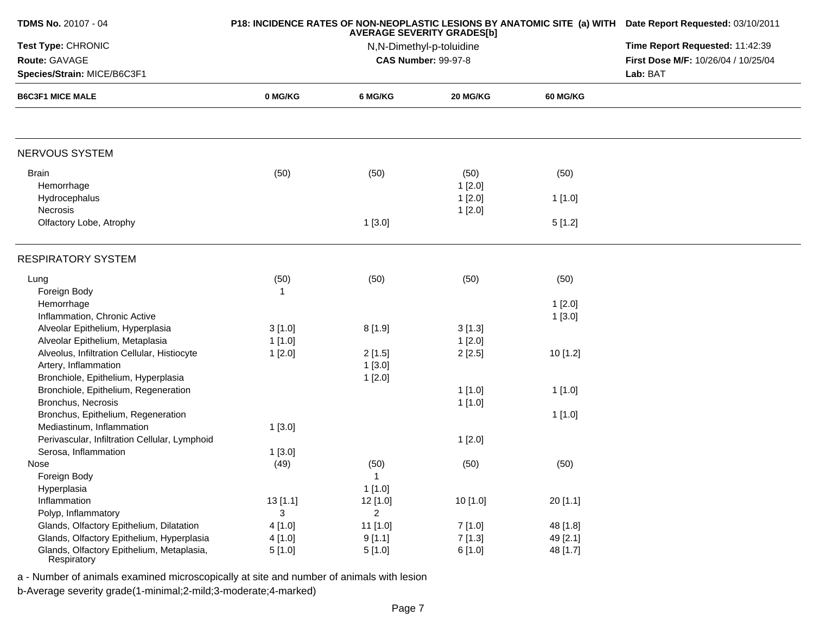| <b>TDMS No. 20107 - 04</b>                               |              | P18: INCIDENCE RATES OF NON-NEOPLASTIC LESIONS BY ANATOMIC SITE (a) WITH Date Report Requested: 03/10/2011 |                                                        |                 |                                     |
|----------------------------------------------------------|--------------|------------------------------------------------------------------------------------------------------------|--------------------------------------------------------|-----------------|-------------------------------------|
| Test Type: CHRONIC                                       |              | Time Report Requested: 11:42:39                                                                            |                                                        |                 |                                     |
| Route: GAVAGE                                            |              |                                                                                                            | N,N-Dimethyl-p-toluidine<br><b>CAS Number: 99-97-8</b> |                 | First Dose M/F: 10/26/04 / 10/25/04 |
| Species/Strain: MICE/B6C3F1                              |              |                                                                                                            |                                                        |                 | Lab: BAT                            |
| <b>B6C3F1 MICE MALE</b>                                  | 0 MG/KG      | 6 MG/KG                                                                                                    | 20 MG/KG                                               | <b>60 MG/KG</b> |                                     |
|                                                          |              |                                                                                                            |                                                        |                 |                                     |
| <b>NERVOUS SYSTEM</b>                                    |              |                                                                                                            |                                                        |                 |                                     |
| <b>Brain</b>                                             | (50)         | (50)                                                                                                       | (50)                                                   | (50)            |                                     |
| Hemorrhage                                               |              |                                                                                                            | 1[2.0]                                                 |                 |                                     |
| Hydrocephalus                                            |              |                                                                                                            | 1[2.0]                                                 | 1[1.0]          |                                     |
| Necrosis                                                 |              |                                                                                                            | 1[2.0]                                                 |                 |                                     |
| Olfactory Lobe, Atrophy                                  |              | 1[3.0]                                                                                                     |                                                        | 5[1.2]          |                                     |
| <b>RESPIRATORY SYSTEM</b>                                |              |                                                                                                            |                                                        |                 |                                     |
| Lung                                                     | (50)         | (50)                                                                                                       | (50)                                                   | (50)            |                                     |
| Foreign Body                                             | $\mathbf{1}$ |                                                                                                            |                                                        |                 |                                     |
| Hemorrhage                                               |              |                                                                                                            |                                                        | 1[2.0]          |                                     |
| Inflammation, Chronic Active                             |              |                                                                                                            |                                                        | 1[3.0]          |                                     |
| Alveolar Epithelium, Hyperplasia                         | 3[1.0]       | 8[1.9]                                                                                                     | 3[1.3]                                                 |                 |                                     |
| Alveolar Epithelium, Metaplasia                          | 1[1.0]       |                                                                                                            | 1[2.0]                                                 |                 |                                     |
| Alveolus, Infiltration Cellular, Histiocyte              | 1[2.0]       | 2[1.5]                                                                                                     | 2[2.5]                                                 | 10 [1.2]        |                                     |
| Artery, Inflammation                                     |              | 1[3.0]                                                                                                     |                                                        |                 |                                     |
| Bronchiole, Epithelium, Hyperplasia                      |              | 1[2.0]                                                                                                     |                                                        |                 |                                     |
| Bronchiole, Epithelium, Regeneration                     |              |                                                                                                            | 1[1.0]                                                 | 1[1.0]          |                                     |
| Bronchus, Necrosis                                       |              |                                                                                                            | 1[1.0]                                                 |                 |                                     |
| Bronchus, Epithelium, Regeneration                       |              |                                                                                                            |                                                        | 1[1.0]          |                                     |
| Mediastinum, Inflammation                                | 1[3.0]       |                                                                                                            |                                                        |                 |                                     |
| Perivascular, Infiltration Cellular, Lymphoid            |              |                                                                                                            | 1[2.0]                                                 |                 |                                     |
| Serosa, Inflammation                                     | 1[3.0]       |                                                                                                            |                                                        |                 |                                     |
| Nose                                                     | (49)         | (50)                                                                                                       | (50)                                                   | (50)            |                                     |
| Foreign Body                                             |              | 1                                                                                                          |                                                        |                 |                                     |
| Hyperplasia                                              |              | 1[1.0]                                                                                                     |                                                        |                 |                                     |
| Inflammation                                             | 13[1.1]      | 12 [1.0]                                                                                                   | 10 [1.0]                                               | 20 [1.1]        |                                     |
| Polyp, Inflammatory                                      | 3            | $\overline{2}$                                                                                             |                                                        |                 |                                     |
| Glands, Olfactory Epithelium, Dilatation                 | 4[1.0]       | 11 [1.0]                                                                                                   | 7[1.0]                                                 | 48 [1.8]        |                                     |
| Glands, Olfactory Epithelium, Hyperplasia                | 4[1.0]       | 9[1.1]                                                                                                     | 7[1.3]                                                 | 49 [2.1]        |                                     |
| Glands, Olfactory Epithelium, Metaplasia,<br>Respiratory | 5[1.0]       | 5[1.0]                                                                                                     | 6[1.0]                                                 | 48 [1.7]        |                                     |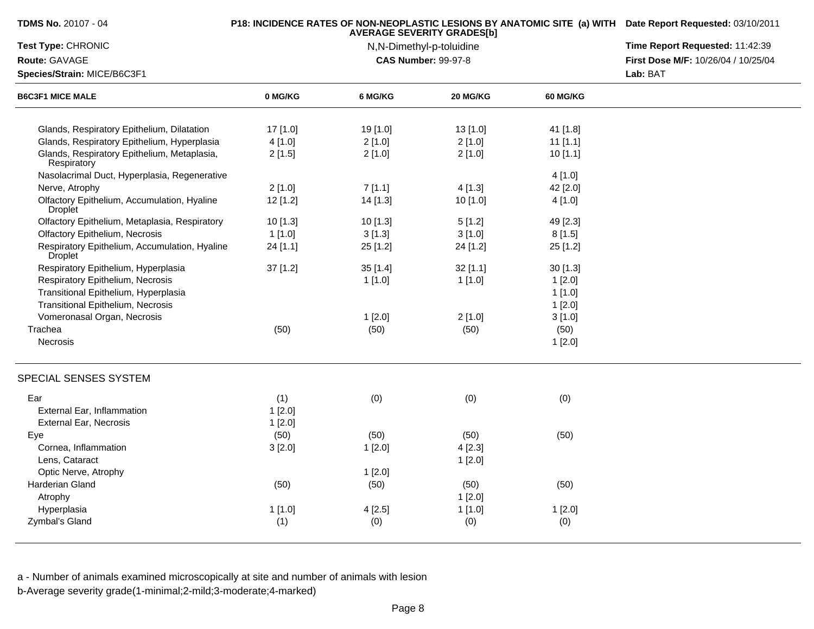| TDMS No. 20107 - 04                                        |            | <b>AVERAGE SEVERITY GRADES[b]</b> | P18: INCIDENCE RATES OF NON-NEOPLASTIC LESIONS BY ANATOMIC SITE (a) WITH Date Report Requested: 03/10/2011 |                                 |                                     |
|------------------------------------------------------------|------------|-----------------------------------|------------------------------------------------------------------------------------------------------------|---------------------------------|-------------------------------------|
| Test Type: CHRONIC                                         |            | N,N-Dimethyl-p-toluidine          |                                                                                                            | Time Report Requested: 11:42:39 |                                     |
| Route: GAVAGE                                              |            |                                   | <b>CAS Number: 99-97-8</b>                                                                                 |                                 | First Dose M/F: 10/26/04 / 10/25/04 |
| Species/Strain: MICE/B6C3F1                                |            |                                   |                                                                                                            |                                 | Lab: BAT                            |
| <b>B6C3F1 MICE MALE</b>                                    | 0 MG/KG    | 6 MG/KG                           | 20 MG/KG                                                                                                   | 60 MG/KG                        |                                     |
| Glands, Respiratory Epithelium, Dilatation                 | 17 [1.0]   | 19 [1.0]                          | 13 [1.0]                                                                                                   | 41 [1.8]                        |                                     |
| Glands, Respiratory Epithelium, Hyperplasia                | 4[1.0]     | 2[1.0]                            | 2[1.0]                                                                                                     | $11$ [1.1]                      |                                     |
| Glands, Respiratory Epithelium, Metaplasia,<br>Respiratory | 2[1.5]     | 2[1.0]                            | 2[1.0]                                                                                                     | 10[1.1]                         |                                     |
| Nasolacrimal Duct, Hyperplasia, Regenerative               |            |                                   |                                                                                                            | 4[1.0]                          |                                     |
| Nerve, Atrophy                                             | 2[1.0]     | 7[1.1]                            | 4[1.3]                                                                                                     | 42 [2.0]                        |                                     |
| Olfactory Epithelium, Accumulation, Hyaline<br>Droplet     | $12$ [1.2] | 14 [1.3]                          | 10 [1.0]                                                                                                   | 4[1.0]                          |                                     |
| Olfactory Epithelium, Metaplasia, Respiratory              | 10 [1.3]   | 10 [1.3]                          | 5[1.2]                                                                                                     | 49 [2.3]                        |                                     |
| <b>Olfactory Epithelium, Necrosis</b>                      | 1[1.0]     | 3[1.3]                            | 3[1.0]                                                                                                     | 8[1.5]                          |                                     |
| Respiratory Epithelium, Accumulation, Hyaline<br>Droplet   | 24 [1.1]   | 25 [1.2]                          | 24 [1.2]                                                                                                   | 25 [1.2]                        |                                     |
| Respiratory Epithelium, Hyperplasia                        | $37$ [1.2] | 35[1.4]                           | $32$ [1.1]                                                                                                 | 30[1.3]                         |                                     |
| Respiratory Epithelium, Necrosis                           |            | 1[1.0]                            | 1[1.0]                                                                                                     | 1[2.0]                          |                                     |
| Transitional Epithelium, Hyperplasia                       |            |                                   |                                                                                                            | 1[1.0]                          |                                     |
| <b>Transitional Epithelium, Necrosis</b>                   |            |                                   |                                                                                                            | 1[2.0]                          |                                     |
| Vomeronasal Organ, Necrosis                                |            | 1[2.0]                            | 2[1.0]                                                                                                     | 3[1.0]                          |                                     |
| Trachea                                                    | (50)       | (50)                              | (50)                                                                                                       | (50)                            |                                     |
| Necrosis                                                   |            |                                   |                                                                                                            | 1[2.0]                          |                                     |
| SPECIAL SENSES SYSTEM                                      |            |                                   |                                                                                                            |                                 |                                     |
| Ear                                                        | (1)        | (0)                               | (0)                                                                                                        | (0)                             |                                     |
| External Ear, Inflammation                                 | $1$ [2.0]  |                                   |                                                                                                            |                                 |                                     |
| External Ear, Necrosis                                     | 1[2.0]     |                                   |                                                                                                            |                                 |                                     |
| Eye                                                        | (50)       | (50)                              | (50)                                                                                                       | (50)                            |                                     |
| Cornea, Inflammation                                       | 3[2.0]     | 1[2.0]                            | 4[2.3]                                                                                                     |                                 |                                     |
| Lens, Cataract                                             |            |                                   | 1[2.0]                                                                                                     |                                 |                                     |
| Optic Nerve, Atrophy                                       |            | 1[2.0]                            |                                                                                                            |                                 |                                     |
| Harderian Gland                                            | (50)       | (50)                              | (50)                                                                                                       | (50)                            |                                     |
| Atrophy                                                    |            |                                   | 1[2.0]                                                                                                     |                                 |                                     |
| Hyperplasia                                                | 1[1.0]     | 4[2.5]                            | 1[1.0]                                                                                                     | 1[2.0]                          |                                     |
| Zymbal's Gland                                             | (1)        | (0)                               | (0)                                                                                                        | (0)                             |                                     |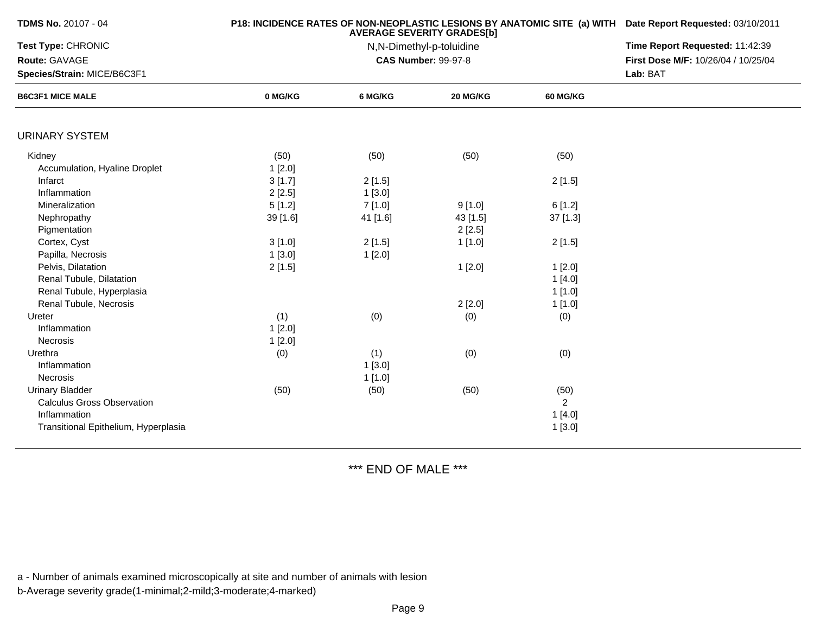| <b>TDMS No. 20107 - 04</b>                                                                                          |                            | P18: INCIDENCE RATES OF NON-NEOPLASTIC LESIONS BY ANATOMIC SITE (a) WITH Date Report Requested: 03/10/2011<br>Time Report Requested: 11:42:39<br>First Dose M/F: 10/26/04 / 10/25/04<br>Lab: BAT |                    |                                            |  |
|---------------------------------------------------------------------------------------------------------------------|----------------------------|--------------------------------------------------------------------------------------------------------------------------------------------------------------------------------------------------|--------------------|--------------------------------------------|--|
| Test Type: CHRONIC<br>Route: GAVAGE<br>Species/Strain: MICE/B6C3F1                                                  |                            |                                                                                                                                                                                                  |                    |                                            |  |
| <b>B6C3F1 MICE MALE</b>                                                                                             | 0 MG/KG                    | 6 MG/KG                                                                                                                                                                                          | 20 MG/KG           | <b>60 MG/KG</b>                            |  |
| <b>URINARY SYSTEM</b>                                                                                               |                            |                                                                                                                                                                                                  |                    |                                            |  |
| Kidney                                                                                                              | (50)                       | (50)                                                                                                                                                                                             | (50)               | (50)                                       |  |
| Accumulation, Hyaline Droplet<br>Infarct<br>Inflammation                                                            | 1[2.0]<br>3[1.7]<br>2[2.5] | 2[1.5]<br>1[3.0]                                                                                                                                                                                 |                    | 2[1.5]                                     |  |
| Mineralization                                                                                                      | 5[1.2]                     | 7[1.0]                                                                                                                                                                                           | 9[1.0]             | 6[1.2]                                     |  |
| Nephropathy<br>Pigmentation                                                                                         | 39 [1.6]                   | 41 [1.6]                                                                                                                                                                                         | 43 [1.5]<br>2[2.5] | $37$ [1.3]                                 |  |
| Cortex, Cyst                                                                                                        | 3[1.0]                     | 2[1.5]                                                                                                                                                                                           | 1[1.0]             | 2[1.5]                                     |  |
| Papilla, Necrosis                                                                                                   | 1[3.0]                     | 1[2.0]                                                                                                                                                                                           |                    |                                            |  |
| Pelvis, Dilatation<br>Renal Tubule, Dilatation<br>Renal Tubule, Hyperplasia                                         | 2[1.5]                     |                                                                                                                                                                                                  | 1[2.0]             | 1[2.0]<br>1[4.0]<br>1[1.0]                 |  |
| Renal Tubule, Necrosis                                                                                              |                            |                                                                                                                                                                                                  | 2[2.0]             | 1 [1.0]                                    |  |
| Ureter<br>Inflammation<br><b>Necrosis</b>                                                                           | (1)<br>1[2.0]<br>1[2.0]    | (0)                                                                                                                                                                                              | (0)                | (0)                                        |  |
| Urethra<br>Inflammation<br>Necrosis                                                                                 | (0)                        | (1)<br>1[3.0]<br>1[1.0]                                                                                                                                                                          | (0)                | (0)                                        |  |
| <b>Urinary Bladder</b><br><b>Calculus Gross Observation</b><br>Inflammation<br>Transitional Epithelium, Hyperplasia | (50)                       | (50)                                                                                                                                                                                             | (50)               | (50)<br>$\overline{2}$<br>1[4.0]<br>1[3.0] |  |

## \*\*\* END OF MALE \*\*\*

a - Number of animals examined microscopically at site and number of animals with lesion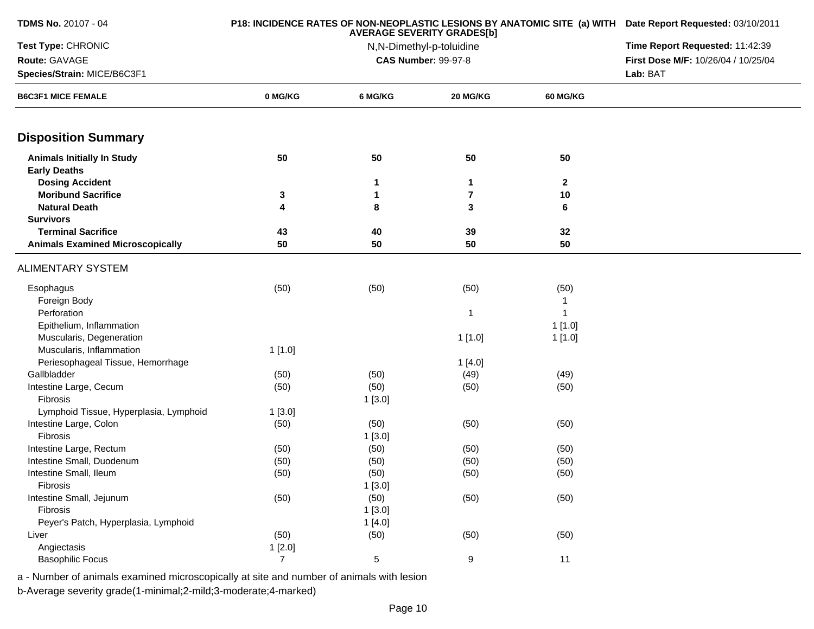|         | P18: INCIDENCE RATES OF NON-NEOPLASTIC LESIONS BY ANATOMIC SITE (a) WITH Date Report Requested: 03/10/2011<br><b>AVERAGE SEVERITY GRADES[b]</b> |                                                                                                                                           |                                                                                                                                 |                                                                                                          |  |  |
|---------|-------------------------------------------------------------------------------------------------------------------------------------------------|-------------------------------------------------------------------------------------------------------------------------------------------|---------------------------------------------------------------------------------------------------------------------------------|----------------------------------------------------------------------------------------------------------|--|--|
|         | N,N-Dimethyl-p-toluidine                                                                                                                        |                                                                                                                                           |                                                                                                                                 |                                                                                                          |  |  |
|         |                                                                                                                                                 |                                                                                                                                           |                                                                                                                                 | First Dose M/F: 10/26/04 / 10/25/04                                                                      |  |  |
|         |                                                                                                                                                 |                                                                                                                                           | Lab: BAT                                                                                                                        |                                                                                                          |  |  |
| 0 MG/KG | 6 MG/KG                                                                                                                                         | 20 MG/KG                                                                                                                                  | <b>60 MG/KG</b>                                                                                                                 |                                                                                                          |  |  |
|         |                                                                                                                                                 |                                                                                                                                           |                                                                                                                                 |                                                                                                          |  |  |
| 50      | 50                                                                                                                                              | 50                                                                                                                                        | 50                                                                                                                              |                                                                                                          |  |  |
|         |                                                                                                                                                 |                                                                                                                                           |                                                                                                                                 |                                                                                                          |  |  |
|         | 1                                                                                                                                               | 1                                                                                                                                         | $\mathbf{2}$                                                                                                                    |                                                                                                          |  |  |
| 3       | 1                                                                                                                                               | 7                                                                                                                                         |                                                                                                                                 |                                                                                                          |  |  |
| 4       | 8                                                                                                                                               | 3                                                                                                                                         | 6                                                                                                                               |                                                                                                          |  |  |
|         |                                                                                                                                                 |                                                                                                                                           |                                                                                                                                 |                                                                                                          |  |  |
|         |                                                                                                                                                 |                                                                                                                                           |                                                                                                                                 |                                                                                                          |  |  |
|         |                                                                                                                                                 |                                                                                                                                           |                                                                                                                                 |                                                                                                          |  |  |
|         |                                                                                                                                                 |                                                                                                                                           |                                                                                                                                 |                                                                                                          |  |  |
| (50)    | (50)                                                                                                                                            | (50)                                                                                                                                      | (50)                                                                                                                            |                                                                                                          |  |  |
|         |                                                                                                                                                 |                                                                                                                                           | 1                                                                                                                               |                                                                                                          |  |  |
|         |                                                                                                                                                 | 1                                                                                                                                         |                                                                                                                                 |                                                                                                          |  |  |
|         |                                                                                                                                                 |                                                                                                                                           |                                                                                                                                 |                                                                                                          |  |  |
|         |                                                                                                                                                 |                                                                                                                                           |                                                                                                                                 |                                                                                                          |  |  |
|         |                                                                                                                                                 |                                                                                                                                           |                                                                                                                                 |                                                                                                          |  |  |
|         |                                                                                                                                                 |                                                                                                                                           |                                                                                                                                 |                                                                                                          |  |  |
|         |                                                                                                                                                 |                                                                                                                                           |                                                                                                                                 |                                                                                                          |  |  |
|         |                                                                                                                                                 |                                                                                                                                           |                                                                                                                                 |                                                                                                          |  |  |
|         |                                                                                                                                                 |                                                                                                                                           |                                                                                                                                 |                                                                                                          |  |  |
|         |                                                                                                                                                 |                                                                                                                                           |                                                                                                                                 |                                                                                                          |  |  |
|         |                                                                                                                                                 |                                                                                                                                           |                                                                                                                                 |                                                                                                          |  |  |
|         |                                                                                                                                                 |                                                                                                                                           |                                                                                                                                 |                                                                                                          |  |  |
|         |                                                                                                                                                 |                                                                                                                                           |                                                                                                                                 |                                                                                                          |  |  |
|         |                                                                                                                                                 |                                                                                                                                           |                                                                                                                                 |                                                                                                          |  |  |
|         |                                                                                                                                                 |                                                                                                                                           |                                                                                                                                 |                                                                                                          |  |  |
|         |                                                                                                                                                 |                                                                                                                                           |                                                                                                                                 |                                                                                                          |  |  |
|         |                                                                                                                                                 |                                                                                                                                           |                                                                                                                                 |                                                                                                          |  |  |
|         |                                                                                                                                                 |                                                                                                                                           |                                                                                                                                 |                                                                                                          |  |  |
|         |                                                                                                                                                 |                                                                                                                                           |                                                                                                                                 |                                                                                                          |  |  |
|         |                                                                                                                                                 |                                                                                                                                           |                                                                                                                                 |                                                                                                          |  |  |
|         |                                                                                                                                                 |                                                                                                                                           |                                                                                                                                 |                                                                                                          |  |  |
|         | 43<br>50<br>1[1.0]<br>(50)<br>(50)<br>1[3.0]<br>(50)<br>(50)<br>(50)<br>(50)<br>(50)<br>(50)<br>1[2.0]<br>$\overline{7}$                        | 40<br>50<br>(50)<br>(50)<br>1[3.0]<br>(50)<br>1[3.0]<br>(50)<br>(50)<br>(50)<br>1[3.0]<br>(50)<br>1[3.0]<br>1[4.0]<br>(50)<br>$\,$ 5 $\,$ | <b>CAS Number: 99-97-8</b><br>39<br>50<br>1[1.0]<br>1[4.0]<br>(49)<br>(50)<br>(50)<br>(50)<br>(50)<br>(50)<br>(50)<br>(50)<br>9 | 10<br>32<br>50<br>1[1.0]<br>1[1.0]<br>(49)<br>(50)<br>(50)<br>(50)<br>(50)<br>(50)<br>(50)<br>(50)<br>11 |  |  |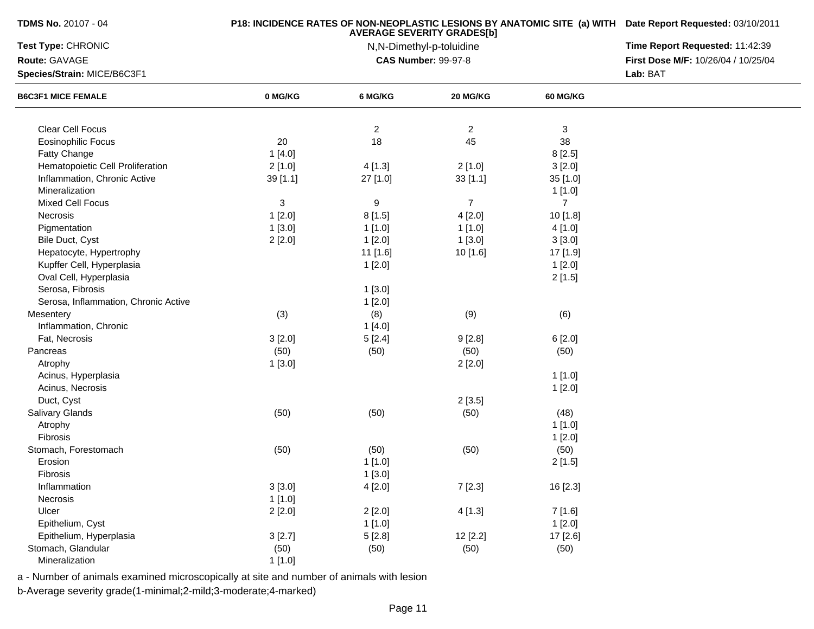| <b>TDMS No. 20107 - 04</b>           |          | <b>P18: INCIDENCE RATES OF NON-NEOPLASTIC LESIONS BY ANATOMIC SITE (a) WITH Date Report Requested: 03/10/2011</b> |                                 |                 |                                     |
|--------------------------------------|----------|-------------------------------------------------------------------------------------------------------------------|---------------------------------|-----------------|-------------------------------------|
| Test Type: CHRONIC                   |          | <b>AVERAGE SEVERITY GRADES[b]</b><br>N,N-Dimethyl-p-toluidine                                                     | Time Report Requested: 11:42:39 |                 |                                     |
| Route: GAVAGE                        |          |                                                                                                                   | <b>CAS Number: 99-97-8</b>      |                 | First Dose M/F: 10/26/04 / 10/25/04 |
| Species/Strain: MICE/B6C3F1          |          |                                                                                                                   |                                 |                 | Lab: BAT                            |
| <b>B6C3F1 MICE FEMALE</b>            | 0 MG/KG  | 6 MG/KG                                                                                                           | 20 MG/KG                        | <b>60 MG/KG</b> |                                     |
|                                      |          |                                                                                                                   |                                 |                 |                                     |
| Clear Cell Focus                     |          | $\overline{c}$                                                                                                    | $\overline{2}$                  | 3               |                                     |
| <b>Eosinophilic Focus</b>            | 20       | 18                                                                                                                | 45                              | 38              |                                     |
| Fatty Change                         | 1[4.0]   |                                                                                                                   |                                 | 8[2.5]          |                                     |
| Hematopoietic Cell Proliferation     | 2[1.0]   | 4[1.3]                                                                                                            | 2[1.0]                          | 3[2.0]          |                                     |
| Inflammation, Chronic Active         | 39 [1.1] | 27 [1.0]                                                                                                          | 33[1.1]                         | 35 [1.0]        |                                     |
| Mineralization                       |          |                                                                                                                   |                                 | 1 [1.0]         |                                     |
| Mixed Cell Focus                     | 3        | 9                                                                                                                 | $\overline{7}$                  | $\overline{7}$  |                                     |
| Necrosis                             | 1[2.0]   | 8[1.5]                                                                                                            | 4[2.0]                          | 10 [1.8]        |                                     |
| Pigmentation                         | 1[3.0]   | 1[1.0]                                                                                                            | 1[1.0]                          | 4 [1.0]         |                                     |
| Bile Duct, Cyst                      | 2[2.0]   | 1[2.0]                                                                                                            | 1[3.0]                          | 3[3.0]          |                                     |
| Hepatocyte, Hypertrophy              |          | 11 [1.6]                                                                                                          | 10 [1.6]                        | 17 [1.9]        |                                     |
| Kupffer Cell, Hyperplasia            |          | 1[2.0]                                                                                                            |                                 | 1[2.0]          |                                     |
| Oval Cell, Hyperplasia               |          |                                                                                                                   |                                 | 2[1.5]          |                                     |
| Serosa, Fibrosis                     |          | 1[3.0]                                                                                                            |                                 |                 |                                     |
| Serosa, Inflammation, Chronic Active |          | 1[2.0]                                                                                                            |                                 |                 |                                     |
| Mesentery                            | (3)      | (8)                                                                                                               | (9)                             | (6)             |                                     |
| Inflammation, Chronic                |          | 1[4.0]                                                                                                            |                                 |                 |                                     |
| Fat, Necrosis                        | 3[2.0]   | 5[2.4]                                                                                                            | 9[2.8]                          | 6[2.0]          |                                     |
| Pancreas                             | (50)     | (50)                                                                                                              | (50)                            | (50)            |                                     |
| Atrophy                              | 1[3.0]   |                                                                                                                   | 2[2.0]                          |                 |                                     |
| Acinus, Hyperplasia                  |          |                                                                                                                   |                                 | 1[1.0]          |                                     |
| Acinus, Necrosis                     |          |                                                                                                                   |                                 | 1[2.0]          |                                     |
| Duct, Cyst                           |          |                                                                                                                   | 2[3.5]                          |                 |                                     |
| Salivary Glands                      | (50)     | (50)                                                                                                              | (50)                            | (48)            |                                     |
| Atrophy                              |          |                                                                                                                   |                                 | 1[1.0]          |                                     |
| Fibrosis                             |          |                                                                                                                   |                                 | 1[2.0]          |                                     |
| Stomach, Forestomach                 | (50)     | (50)                                                                                                              | (50)                            | (50)            |                                     |
| Erosion                              |          | 1[1.0]                                                                                                            |                                 | 2[1.5]          |                                     |
| Fibrosis                             |          | 1[3.0]                                                                                                            |                                 |                 |                                     |
| Inflammation                         | 3[3.0]   | 4[2.0]                                                                                                            | 7[2.3]                          | 16 [2.3]        |                                     |
| Necrosis                             | 1[1.0]   |                                                                                                                   |                                 |                 |                                     |
| Ulcer                                | 2[2.0]   | 2[2.0]                                                                                                            | 4[1.3]                          | 7 [1.6]         |                                     |
| Epithelium, Cyst                     |          | 1[1.0]                                                                                                            |                                 | 1[2.0]          |                                     |
| Epithelium, Hyperplasia              | 3[2.7]   | 5[2.8]                                                                                                            | 12 [2.2]                        | 17 [2.6]        |                                     |
| Stomach, Glandular                   | (50)     | (50)                                                                                                              | (50)                            | (50)            |                                     |
| Mineralization                       | 1[1.0]   |                                                                                                                   |                                 |                 |                                     |

a - Number of animals examined microscopically at site and number of animals with lesion

b-Average severity grade(1-minimal;2-mild;3-moderate;4-marked)

**TDMS No.** 20107 - 04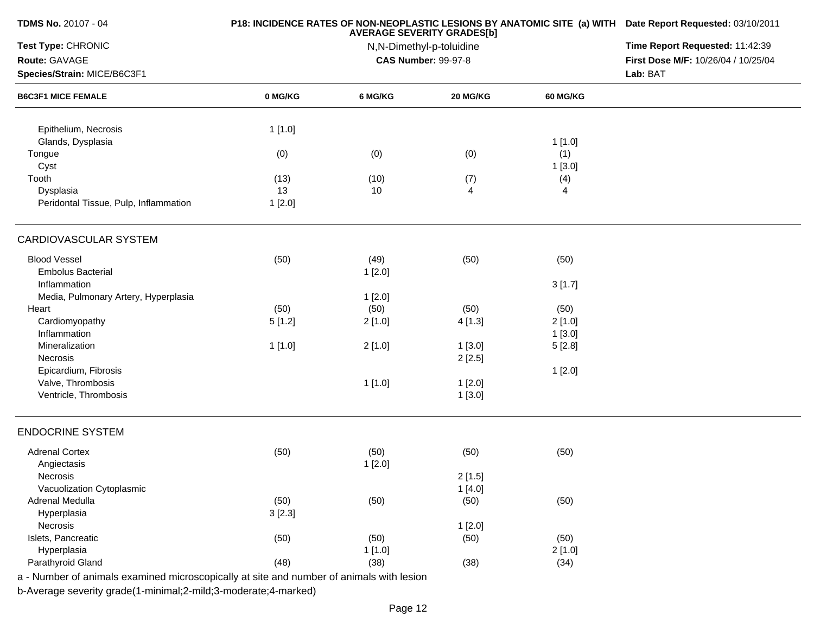| <b>TDMS No. 20107 - 04</b>                                                               |         | P18: INCIDENCE RATES OF NON-NEOPLASTIC LESIONS BY ANATOMIC SITE (a) WITH Date Report Requested: 03/10/2011<br>Time Report Requested: 11:42:39 |                                                        |                 |                                     |
|------------------------------------------------------------------------------------------|---------|-----------------------------------------------------------------------------------------------------------------------------------------------|--------------------------------------------------------|-----------------|-------------------------------------|
| Test Type: CHRONIC                                                                       |         |                                                                                                                                               |                                                        |                 |                                     |
| Route: GAVAGE                                                                            |         |                                                                                                                                               | N,N-Dimethyl-p-toluidine<br><b>CAS Number: 99-97-8</b> |                 | First Dose M/F: 10/26/04 / 10/25/04 |
| Species/Strain: MICE/B6C3F1                                                              |         |                                                                                                                                               |                                                        |                 | Lab: BAT                            |
| <b>B6C3F1 MICE FEMALE</b>                                                                | 0 MG/KG | 6 MG/KG                                                                                                                                       | 20 MG/KG                                               | <b>60 MG/KG</b> |                                     |
| Epithelium, Necrosis                                                                     | 1[1.0]  |                                                                                                                                               |                                                        |                 |                                     |
| Glands, Dysplasia                                                                        |         |                                                                                                                                               |                                                        | 1[1.0]          |                                     |
| Tongue                                                                                   | (0)     | (0)                                                                                                                                           | (0)                                                    | (1)             |                                     |
| Cyst                                                                                     |         |                                                                                                                                               |                                                        | 1[3.0]          |                                     |
| Tooth                                                                                    | (13)    | (10)                                                                                                                                          | (7)                                                    | (4)             |                                     |
| Dysplasia                                                                                | 13      | 10                                                                                                                                            | 4                                                      | 4               |                                     |
| Peridontal Tissue, Pulp, Inflammation                                                    | 1[2.0]  |                                                                                                                                               |                                                        |                 |                                     |
| CARDIOVASCULAR SYSTEM                                                                    |         |                                                                                                                                               |                                                        |                 |                                     |
| <b>Blood Vessel</b>                                                                      | (50)    | (49)                                                                                                                                          | (50)                                                   | (50)            |                                     |
| <b>Embolus Bacterial</b>                                                                 |         | 1[2.0]                                                                                                                                        |                                                        |                 |                                     |
| Inflammation                                                                             |         |                                                                                                                                               |                                                        | 3[1.7]          |                                     |
| Media, Pulmonary Artery, Hyperplasia                                                     |         | 1[2.0]                                                                                                                                        |                                                        |                 |                                     |
| Heart                                                                                    | (50)    | (50)                                                                                                                                          | (50)                                                   | (50)            |                                     |
| Cardiomyopathy                                                                           | 5[1.2]  | 2[1.0]                                                                                                                                        | 4[1.3]                                                 | 2[1.0]          |                                     |
| Inflammation                                                                             |         |                                                                                                                                               |                                                        | 1[3.0]          |                                     |
| Mineralization                                                                           | 1[1.0]  | 2[1.0]                                                                                                                                        | 1[3.0]                                                 | 5[2.8]          |                                     |
| Necrosis                                                                                 |         |                                                                                                                                               | 2[2.5]                                                 |                 |                                     |
| Epicardium, Fibrosis                                                                     |         |                                                                                                                                               |                                                        | 1[2.0]          |                                     |
| Valve, Thrombosis                                                                        |         | 1[1.0]                                                                                                                                        | 1[2.0]                                                 |                 |                                     |
| Ventricle, Thrombosis                                                                    |         |                                                                                                                                               | 1[3.0]                                                 |                 |                                     |
| <b>ENDOCRINE SYSTEM</b>                                                                  |         |                                                                                                                                               |                                                        |                 |                                     |
| <b>Adrenal Cortex</b>                                                                    | (50)    | (50)                                                                                                                                          | (50)                                                   | (50)            |                                     |
| Angiectasis                                                                              |         | 1[2.0]                                                                                                                                        |                                                        |                 |                                     |
| <b>Necrosis</b>                                                                          |         |                                                                                                                                               | 2[1.5]                                                 |                 |                                     |
| Vacuolization Cytoplasmic                                                                |         |                                                                                                                                               | 1[4.0]                                                 |                 |                                     |
| Adrenal Medulla                                                                          | (50)    | (50)                                                                                                                                          | (50)                                                   | (50)            |                                     |
| Hyperplasia                                                                              | 3[2.3]  |                                                                                                                                               |                                                        |                 |                                     |
| Necrosis                                                                                 |         |                                                                                                                                               | 1[2.0]                                                 |                 |                                     |
| Islets, Pancreatic                                                                       | (50)    | (50)                                                                                                                                          | (50)                                                   | (50)            |                                     |
| Hyperplasia                                                                              |         | 1[1.0]                                                                                                                                        |                                                        | 2[1.0]          |                                     |
| Parathyroid Gland                                                                        | (48)    | (38)                                                                                                                                          | (38)                                                   | (34)            |                                     |
| a - Number of animals examined microscopically at site and number of animals with lesion |         |                                                                                                                                               |                                                        |                 |                                     |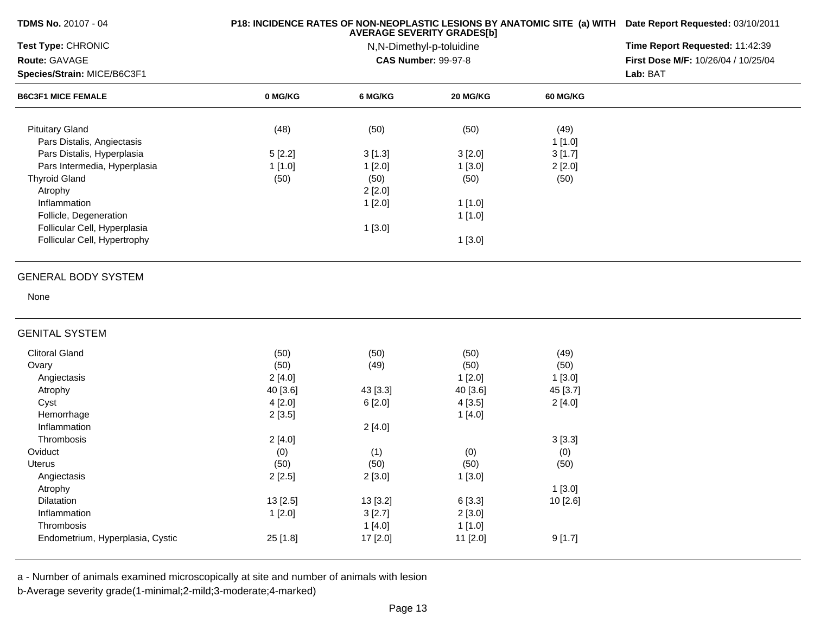| TDMS No. 20107 - 04              |          | P18: INCIDENCE RATES OF NON-NEOPLASTIC LESIONS BY ANATOMIC SITE (a) WITH Date Report Requested: 03/10/2011<br>Time Report Requested: 11:42:39 |                            |                 |                                     |
|----------------------------------|----------|-----------------------------------------------------------------------------------------------------------------------------------------------|----------------------------|-----------------|-------------------------------------|
| Test Type: CHRONIC               |          |                                                                                                                                               |                            |                 |                                     |
| Route: GAVAGE                    |          |                                                                                                                                               | <b>CAS Number: 99-97-8</b> |                 | First Dose M/F: 10/26/04 / 10/25/04 |
| Species/Strain: MICE/B6C3F1      |          |                                                                                                                                               | Lab: BAT                   |                 |                                     |
| <b>B6C3F1 MICE FEMALE</b>        | 0 MG/KG  | 6 MG/KG                                                                                                                                       | 20 MG/KG                   | <b>60 MG/KG</b> |                                     |
| <b>Pituitary Gland</b>           | (48)     | (50)                                                                                                                                          | (50)                       | (49)            |                                     |
| Pars Distalis, Angiectasis       |          |                                                                                                                                               |                            | 1[1.0]          |                                     |
| Pars Distalis, Hyperplasia       | 5[2.2]   | 3[1.3]                                                                                                                                        | 3[2.0]                     | 3[1.7]          |                                     |
| Pars Intermedia, Hyperplasia     | 1[1.0]   | 1[2.0]                                                                                                                                        | 1[3.0]                     | 2[2.0]          |                                     |
| <b>Thyroid Gland</b>             | (50)     | (50)                                                                                                                                          | (50)                       | (50)            |                                     |
| Atrophy                          |          | 2[2.0]                                                                                                                                        |                            |                 |                                     |
| Inflammation                     |          | 1[2.0]                                                                                                                                        | 1[1.0]                     |                 |                                     |
| Follicle, Degeneration           |          |                                                                                                                                               | 1[1.0]                     |                 |                                     |
| Follicular Cell, Hyperplasia     |          | 1[3.0]                                                                                                                                        |                            |                 |                                     |
| Follicular Cell, Hypertrophy     |          |                                                                                                                                               | 1[3.0]                     |                 |                                     |
|                                  |          |                                                                                                                                               |                            |                 |                                     |
| <b>GENERAL BODY SYSTEM</b>       |          |                                                                                                                                               |                            |                 |                                     |
| None                             |          |                                                                                                                                               |                            |                 |                                     |
| <b>GENITAL SYSTEM</b>            |          |                                                                                                                                               |                            |                 |                                     |
| <b>Clitoral Gland</b>            | (50)     | (50)                                                                                                                                          | (50)                       | (49)            |                                     |
| Ovary                            | (50)     | (49)                                                                                                                                          | (50)                       | (50)            |                                     |
| Angiectasis                      | 2[4.0]   |                                                                                                                                               | 1[2.0]                     | 1[3.0]          |                                     |
| Atrophy                          | 40 [3.6] | 43 [3.3]                                                                                                                                      | 40 [3.6]                   | 45 [3.7]        |                                     |
| Cyst                             | 4[2.0]   | 6[2.0]                                                                                                                                        | 4[3.5]                     | 2[4.0]          |                                     |
| Hemorrhage                       | 2[3.5]   |                                                                                                                                               | 1[4.0]                     |                 |                                     |
| Inflammation                     |          | 2[4.0]                                                                                                                                        |                            |                 |                                     |
| Thrombosis                       | 2[4.0]   |                                                                                                                                               |                            | 3[3.3]          |                                     |
| Oviduct                          | (0)      | (1)                                                                                                                                           | (0)                        | (0)             |                                     |
| <b>Uterus</b>                    | (50)     | (50)                                                                                                                                          | (50)                       | (50)            |                                     |
| Angiectasis                      | 2[2.5]   | 2[3.0]                                                                                                                                        | 1[3.0]                     |                 |                                     |
| Atrophy                          |          |                                                                                                                                               |                            | 1[3.0]          |                                     |
| Dilatation                       | 13 [2.5] | 13 [3.2]                                                                                                                                      | 6[3.3]                     | 10 [2.6]        |                                     |
| Inflammation                     | 1[2.0]   | 3[2.7]                                                                                                                                        | 2[3.0]                     |                 |                                     |
| Thrombosis                       |          | 1[4.0]                                                                                                                                        | 1[1.0]                     |                 |                                     |
| Endometrium, Hyperplasia, Cystic | 25 [1.8] | 17 [2.0]                                                                                                                                      | 11 [2.0]                   | 9[1.7]          |                                     |
|                                  |          |                                                                                                                                               |                            |                 |                                     |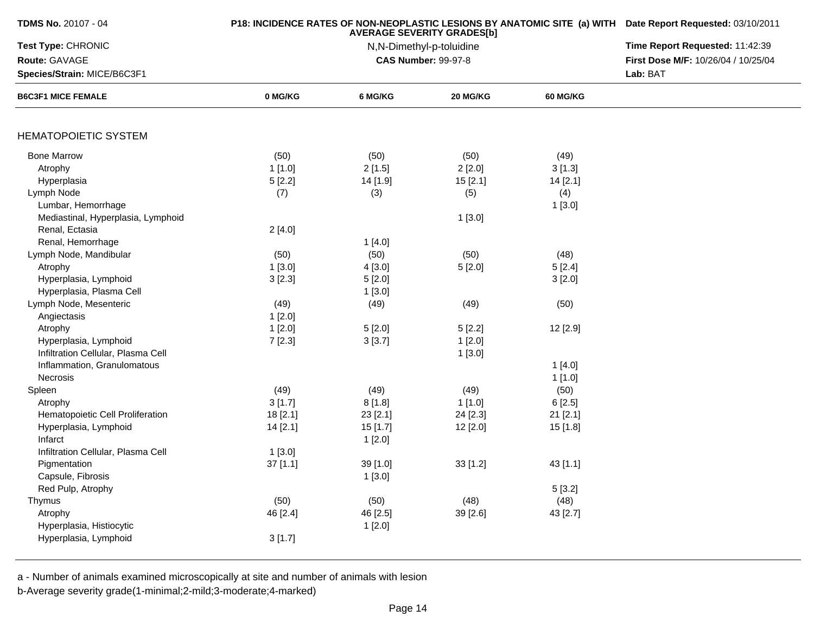| Test Type: CHRONIC<br>Route: GAVAGE<br>Species/Strain: MICE/B6C3F1<br><b>B6C3F1 MICE FEMALE</b> | 0 MG/KG  | 6 MG/KG  | N,N-Dimethyl-p-toluidine<br><b>CAS Number: 99-97-8</b><br>20 MG/KG |                 | Time Report Requested: 11:42:39<br>First Dose M/F: 10/26/04 / 10/25/04<br>Lab: BAT |
|-------------------------------------------------------------------------------------------------|----------|----------|--------------------------------------------------------------------|-----------------|------------------------------------------------------------------------------------|
|                                                                                                 |          |          |                                                                    |                 |                                                                                    |
|                                                                                                 |          |          |                                                                    |                 |                                                                                    |
|                                                                                                 |          |          |                                                                    |                 |                                                                                    |
|                                                                                                 |          |          |                                                                    | <b>60 MG/KG</b> |                                                                                    |
|                                                                                                 |          |          |                                                                    |                 |                                                                                    |
| <b>HEMATOPOIETIC SYSTEM</b>                                                                     |          |          |                                                                    |                 |                                                                                    |
| <b>Bone Marrow</b>                                                                              | (50)     | (50)     | (50)                                                               | (49)            |                                                                                    |
| Atrophy                                                                                         | 1[1.0]   | 2[1.5]   | 2[2.0]                                                             | 3[1.3]          |                                                                                    |
| Hyperplasia                                                                                     | 5[2.2]   | 14 [1.9] | 15[2.1]                                                            | 14 [2.1]        |                                                                                    |
| Lymph Node                                                                                      | (7)      | (3)      | (5)                                                                | (4)             |                                                                                    |
| Lumbar, Hemorrhage                                                                              |          |          |                                                                    | 1[3.0]          |                                                                                    |
| Mediastinal, Hyperplasia, Lymphoid                                                              |          |          | 1[3.0]                                                             |                 |                                                                                    |
| Renal, Ectasia                                                                                  | 2[4.0]   |          |                                                                    |                 |                                                                                    |
| Renal, Hemorrhage                                                                               |          | 1[4.0]   |                                                                    |                 |                                                                                    |
| Lymph Node, Mandibular                                                                          | (50)     | (50)     | (50)                                                               | (48)            |                                                                                    |
| Atrophy                                                                                         | 1[3.0]   | 4 [3.0]  | 5[2.0]                                                             | 5[2.4]          |                                                                                    |
| Hyperplasia, Lymphoid                                                                           | 3[2.3]   | 5[2.0]   |                                                                    | 3[2.0]          |                                                                                    |
| Hyperplasia, Plasma Cell                                                                        |          | 1[3.0]   |                                                                    |                 |                                                                                    |
| Lymph Node, Mesenteric                                                                          | (49)     | (49)     | (49)                                                               | (50)            |                                                                                    |
| Angiectasis                                                                                     | 1[2.0]   |          |                                                                    |                 |                                                                                    |
| Atrophy                                                                                         | 1[2.0]   | 5[2.0]   | 5[2.2]                                                             | 12 [2.9]        |                                                                                    |
| Hyperplasia, Lymphoid                                                                           | 7[2.3]   | 3[3.7]   | 1[2.0]                                                             |                 |                                                                                    |
| Infiltration Cellular, Plasma Cell                                                              |          |          | 1[3.0]                                                             |                 |                                                                                    |
| Inflammation, Granulomatous                                                                     |          |          |                                                                    | 1[4.0]          |                                                                                    |
| Necrosis                                                                                        |          |          |                                                                    | 1[1.0]          |                                                                                    |
| Spleen                                                                                          | (49)     | (49)     | (49)                                                               | (50)            |                                                                                    |
| Atrophy                                                                                         | 3[1.7]   | 8[1.8]   | 1[1.0]                                                             | 6[2.5]          |                                                                                    |
| Hematopoietic Cell Proliferation                                                                | 18 [2.1] | 23 [2.1] | 24 [2.3]                                                           | 21 [2.1]        |                                                                                    |
| Hyperplasia, Lymphoid                                                                           | 14 [2.1] | 15[1.7]  | 12 [2.0]                                                           | 15 [1.8]        |                                                                                    |
| Infarct                                                                                         |          | 1[2.0]   |                                                                    |                 |                                                                                    |
| Infiltration Cellular, Plasma Cell                                                              | 1[3.0]   |          |                                                                    |                 |                                                                                    |
| Pigmentation                                                                                    | 37 [1.1] | 39 [1.0] | 33[1.2]                                                            | 43 [1.1]        |                                                                                    |
| Capsule, Fibrosis                                                                               |          | 1 [3.0]  |                                                                    |                 |                                                                                    |
| Red Pulp, Atrophy                                                                               |          |          |                                                                    | 5[3.2]          |                                                                                    |
| Thymus                                                                                          | (50)     | (50)     | (48)                                                               | (48)            |                                                                                    |
|                                                                                                 |          |          |                                                                    |                 |                                                                                    |
| Atrophy                                                                                         | 46 [2.4] | 46 [2.5] | 39 [2.6]                                                           | 43 [2.7]        |                                                                                    |
| Hyperplasia, Histiocytic                                                                        |          | 1[2.0]   |                                                                    |                 |                                                                                    |
| Hyperplasia, Lymphoid                                                                           | 3[1.7]   |          |                                                                    |                 |                                                                                    |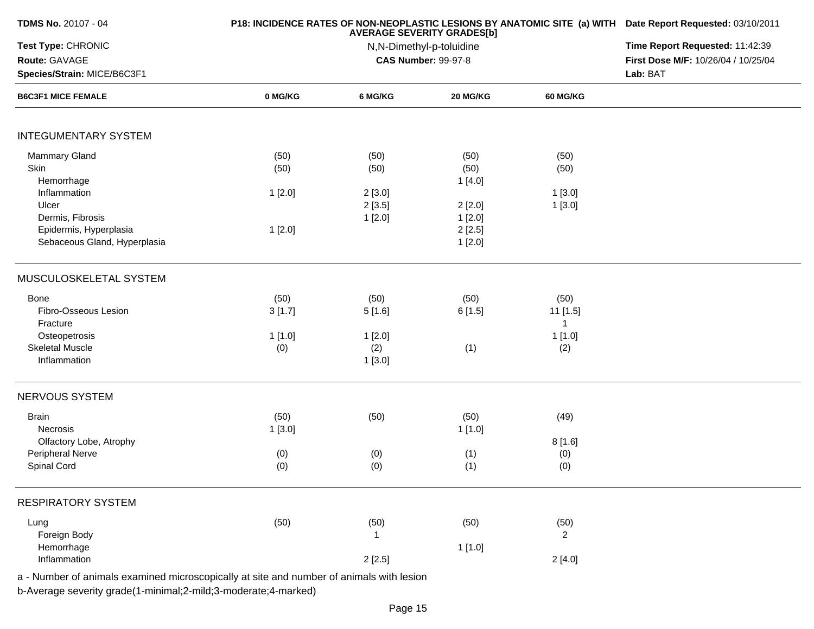| <b>TDMS No. 20107 - 04</b>                                                                                                                        |                                  | P18: INCIDENCE RATES OF NON-NEOPLASTIC LESIONS BY ANATOMIC SITE (a) WITH Date Report Requested: 03/10/2011<br>Time Report Requested: 11:42:39<br>First Dose M/F: 10/26/04 / 10/25/04<br>Lab: BAT |                                                                |                                                   |  |
|---------------------------------------------------------------------------------------------------------------------------------------------------|----------------------------------|--------------------------------------------------------------------------------------------------------------------------------------------------------------------------------------------------|----------------------------------------------------------------|---------------------------------------------------|--|
| Test Type: CHRONIC<br>Route: GAVAGE<br>Species/Strain: MICE/B6C3F1                                                                                |                                  |                                                                                                                                                                                                  |                                                                |                                                   |  |
| <b>B6C3F1 MICE FEMALE</b>                                                                                                                         | 0 MG/KG                          | 6 MG/KG                                                                                                                                                                                          | 20 MG/KG                                                       | 60 MG/KG                                          |  |
| <b>INTEGUMENTARY SYSTEM</b>                                                                                                                       |                                  |                                                                                                                                                                                                  |                                                                |                                                   |  |
| <b>Mammary Gland</b><br>Skin<br>Hemorrhage<br>Inflammation<br>Ulcer<br>Dermis, Fibrosis<br>Epidermis, Hyperplasia<br>Sebaceous Gland, Hyperplasia | (50)<br>(50)<br>1[2.0]<br>1[2.0] | (50)<br>(50)<br>2[3.0]<br>2[3.5]<br>1[2.0]                                                                                                                                                       | (50)<br>(50)<br>1[4.0]<br>2[2.0]<br>1[2.0]<br>2[2.5]<br>1[2.0] | (50)<br>(50)<br>1[3.0]<br>1[3.0]                  |  |
| MUSCULOSKELETAL SYSTEM                                                                                                                            |                                  |                                                                                                                                                                                                  |                                                                |                                                   |  |
| Bone<br>Fibro-Osseous Lesion<br>Fracture<br>Osteopetrosis<br><b>Skeletal Muscle</b><br>Inflammation                                               | (50)<br>3[1.7]<br>1[1.0]<br>(0)  | (50)<br>5[1.6]<br>1[2.0]<br>(2)<br>1[3.0]                                                                                                                                                        | (50)<br>6[1.5]<br>(1)                                          | (50)<br>11 [1.5]<br>$\mathbf{1}$<br>1[1.0]<br>(2) |  |
| NERVOUS SYSTEM                                                                                                                                    |                                  |                                                                                                                                                                                                  |                                                                |                                                   |  |
| <b>Brain</b><br>Necrosis<br>Olfactory Lobe, Atrophy<br>Peripheral Nerve<br>Spinal Cord                                                            | (50)<br>1[3.0]<br>(0)<br>(0)     | (50)<br>(0)<br>(0)                                                                                                                                                                               | (50)<br>1 [1.0]<br>(1)<br>(1)                                  | (49)<br>8[1.6]<br>(0)<br>(0)                      |  |
| <b>RESPIRATORY SYSTEM</b>                                                                                                                         |                                  |                                                                                                                                                                                                  |                                                                |                                                   |  |
| Lung<br>Foreign Body<br>Hemorrhage<br>Inflammation                                                                                                | (50)                             | (50)<br>-1<br>2[2.5]                                                                                                                                                                             | (50)<br>1[1.0]                                                 | (50)<br>$\overline{2}$<br>2[4.0]                  |  |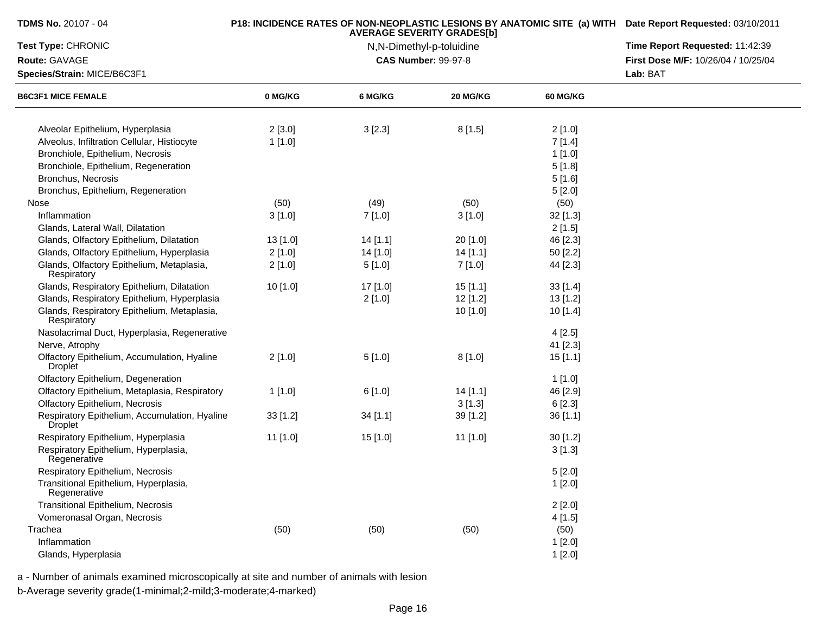| <b>TDMS No. 20107 - 04</b>                                      |            | <b>AVERAGE SEVERITY GRADES[b]</b> | P18: INCIDENCE RATES OF NON-NEOPLASTIC LESIONS BY ANATOMIC SITE (a) WITH Date Report Requested: 03/10/2011<br>Time Report Requested: 11:42:39 |                 |                                     |
|-----------------------------------------------------------------|------------|-----------------------------------|-----------------------------------------------------------------------------------------------------------------------------------------------|-----------------|-------------------------------------|
| <b>Test Type: CHRONIC</b>                                       |            | N,N-Dimethyl-p-toluidine          |                                                                                                                                               |                 |                                     |
| Route: GAVAGE                                                   |            |                                   | <b>CAS Number: 99-97-8</b>                                                                                                                    |                 | First Dose M/F: 10/26/04 / 10/25/04 |
| Species/Strain: MICE/B6C3F1                                     |            |                                   |                                                                                                                                               | Lab: BAT        |                                     |
| <b>B6C3F1 MICE FEMALE</b>                                       | 0 MG/KG    | 6 MG/KG                           | <b>20 MG/KG</b>                                                                                                                               | <b>60 MG/KG</b> |                                     |
| Alveolar Epithelium, Hyperplasia                                | 2[3.0]     | 3[2.3]                            | 8[1.5]                                                                                                                                        | 2[1.0]          |                                     |
| Alveolus, Infiltration Cellular, Histiocyte                     | 1[1.0]     |                                   |                                                                                                                                               | 7[1.4]          |                                     |
| Bronchiole, Epithelium, Necrosis                                |            |                                   |                                                                                                                                               | 1[1.0]          |                                     |
| Bronchiole, Epithelium, Regeneration                            |            |                                   |                                                                                                                                               | 5[1.8]          |                                     |
| Bronchus, Necrosis                                              |            |                                   |                                                                                                                                               | 5[1.6]          |                                     |
| Bronchus, Epithelium, Regeneration                              |            |                                   |                                                                                                                                               | 5[2.0]          |                                     |
| Nose                                                            | (50)       | (49)                              | (50)                                                                                                                                          | (50)            |                                     |
| Inflammation                                                    | 3[1.0]     | 7 [1.0]                           | 3[1.0]                                                                                                                                        | 32 [1.3]        |                                     |
| Glands, Lateral Wall, Dilatation                                |            |                                   |                                                                                                                                               | 2[1.5]          |                                     |
| Glands, Olfactory Epithelium, Dilatation                        | $13$ [1.0] | 14[1.1]                           | 20 [1.0]                                                                                                                                      | 46 [2.3]        |                                     |
| Glands, Olfactory Epithelium, Hyperplasia                       | 2[1.0]     | 14 [1.0]                          | 14[1.1]                                                                                                                                       | 50 [2.2]        |                                     |
| Glands, Olfactory Epithelium, Metaplasia,<br>Respiratory        | 2[1.0]     | 5[1.0]                            | 7 [1.0]                                                                                                                                       | 44 [2.3]        |                                     |
| Glands, Respiratory Epithelium, Dilatation                      | 10[1.0]    | 17 [1.0]                          | 15[1.1]                                                                                                                                       | 33[1.4]         |                                     |
| Glands, Respiratory Epithelium, Hyperplasia                     |            | 2[1.0]                            | 12 [1.2]                                                                                                                                      | $13$ [1.2]      |                                     |
| Glands, Respiratory Epithelium, Metaplasia,<br>Respiratory      |            |                                   | 10 [1.0]                                                                                                                                      | 10 [1.4]        |                                     |
| Nasolacrimal Duct, Hyperplasia, Regenerative                    |            |                                   |                                                                                                                                               | 4[2.5]          |                                     |
| Nerve, Atrophy                                                  |            |                                   |                                                                                                                                               | 41 [2.3]        |                                     |
| Olfactory Epithelium, Accumulation, Hyaline<br><b>Droplet</b>   | 2[1.0]     | 5[1.0]                            | 8[1.0]                                                                                                                                        | 15[1.1]         |                                     |
| Olfactory Epithelium, Degeneration                              |            |                                   |                                                                                                                                               | 1[1.0]          |                                     |
| Olfactory Epithelium, Metaplasia, Respiratory                   | 1[1.0]     | 6[1.0]                            | 14[1.1]                                                                                                                                       | 46 [2.9]        |                                     |
| Olfactory Epithelium, Necrosis                                  |            |                                   | 3[1.3]                                                                                                                                        | 6[2.3]          |                                     |
| Respiratory Epithelium, Accumulation, Hyaline<br><b>Droplet</b> | $33$ [1.2] | 34[1.1]                           | 39 [1.2]                                                                                                                                      | 36[1.1]         |                                     |
| Respiratory Epithelium, Hyperplasia                             | $11$ [1.0] | 15 [1.0]                          | 11 [1.0]                                                                                                                                      | 30[1.2]         |                                     |
| Respiratory Epithelium, Hyperplasia,<br>Regenerative            |            |                                   |                                                                                                                                               | 3[1.3]          |                                     |
| Respiratory Epithelium, Necrosis                                |            |                                   |                                                                                                                                               | 5[2.0]          |                                     |
| Transitional Epithelium, Hyperplasia,<br>Regenerative           |            |                                   |                                                                                                                                               | 1[2.0]          |                                     |
| Transitional Epithelium, Necrosis                               |            |                                   |                                                                                                                                               | 2[2.0]          |                                     |
| Vomeronasal Organ, Necrosis                                     |            |                                   |                                                                                                                                               | 4[1.5]          |                                     |
| Trachea                                                         | (50)       | (50)                              | (50)                                                                                                                                          | (50)            |                                     |
| Inflammation                                                    |            |                                   |                                                                                                                                               | 1[2.0]          |                                     |
| Glands, Hyperplasia                                             |            |                                   |                                                                                                                                               | 1[2.0]          |                                     |